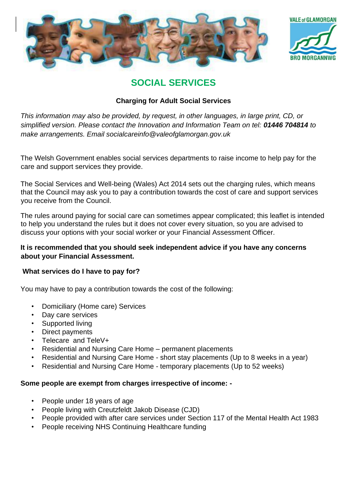



# **SOCIAL SERVICES**

## **Charging for Adult Social Services**

*This information may also be provided, by request, in other languages, in large print, CD, or simplified version. Please contact the Innovation and Information Team on tel: 01446 704814 to make arrangements. Email socialcareinfo@valeofglamorgan.gov.uk* 

The Welsh Government enables social services departments to raise income to help pay for the care and support services they provide.

The Social Services and Well-being (Wales) Act 2014 sets out the charging rules, which means that the Council may ask you to pay a contribution towards the cost of care and support services you receive from the Council.

The rules around paying for social care can sometimes appear complicated; this leaflet is intended to help you understand the rules but it does not cover every situation, so you are advised to discuss your options with your social worker or your Financial Assessment Officer.

## **It is recommended that you should seek independent advice if you have any concerns about your Financial Assessment.**

## **What services do I have to pay for?**

You may have to pay a contribution towards the cost of the following:

- Domiciliary (Home care) Services
- Day care services
- Supported living
- Direct payments
- Telecare and TeleV+
- Residential and Nursing Care Home permanent placements
- Residential and Nursing Care Home short stay placements (Up to 8 weeks in a year)
- Residential and Nursing Care Home temporary placements (Up to 52 weeks)

## **Some people are exempt from charges irrespective of income: -**

- People under 18 years of age
- People living with Creutzfeldt Jakob Disease (CJD)
- People provided with after care services under Section 117 of the Mental Health Act 1983
- People receiving NHS Continuing Healthcare funding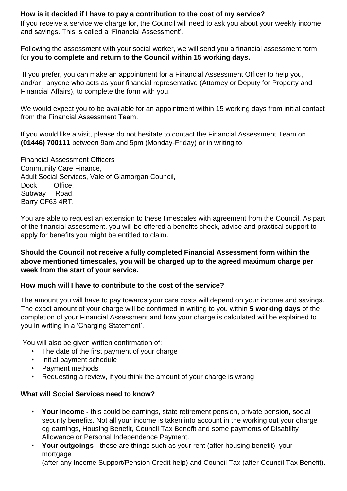## **How is it decided if I have to pay a contribution to the cost of my service?**

If you receive a service we charge for, the Council will need to ask you about your weekly income and savings. This is called a 'Financial Assessment'.

Following the assessment with your social worker, we will send you a financial assessment form for **you to complete and return to the Council within 15 working days.**

If you prefer, you can make an appointment for a Financial Assessment Officer to help you, and/or anyone who acts as your financial representative (Attorney or Deputy for Property and Financial Affairs), to complete the form with you.

We would expect you to be available for an appointment within 15 working days from initial contact from the Financial Assessment Team.

If you would like a visit, please do not hesitate to contact the Financial Assessment Team on **(01446) 700111** between 9am and 5pm (Monday-Friday) or in writing to:

Financial Assessment Officers Community Care Finance, Adult Social Services, Vale of Glamorgan Council, Dock Office, Subway Road, Barry CF63 4RT.

You are able to request an extension to these timescales with agreement from the Council. As part of the financial assessment, you will be offered a benefits check, advice and practical support to apply for benefits you might be entitled to claim.

## **Should the Council not receive a fully completed Financial Assessment form within the above mentioned timescales, you will be charged up to the agreed maximum charge per week from the start of your service.**

## **How much will I have to contribute to the cost of the service?**

The amount you will have to pay towards your care costs will depend on your income and savings. The exact amount of your charge will be confirmed in writing to you within **5 working days** of the completion of your Financial Assessment and how your charge is calculated will be explained to you in writing in a 'Charging Statement'.

You will also be given written confirmation of:

- The date of the first payment of your charge
- Initial payment schedule
- Payment methods
- Requesting a review, if you think the amount of your charge is wrong

#### **What will Social Services need to know?**

- **Your income -** this could be earnings, state retirement pension, private pension, social security benefits. Not all your income is taken into account in the working out your charge eg earnings, Housing Benefit, Council Tax Benefit and some payments of Disability Allowance or Personal Independence Payment.
- **Your outgoings -** these are things such as your rent (after housing benefit), your mortgage

(after any Income Support/Pension Credit help) and Council Tax (after Council Tax Benefit).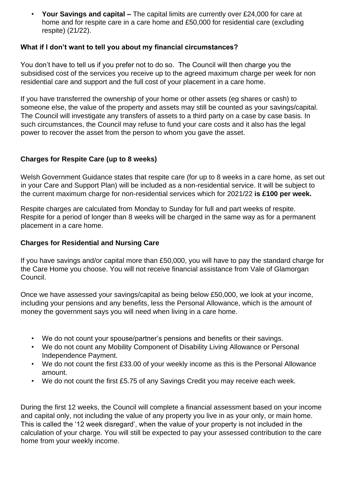• **Your Savings and capital –** The capital limits are currently over £24,000 for care at home and for respite care in a care home and £50,000 for residential care (excluding respite) (21/22).

### **What if I don't want to tell you about my financial circumstances?**

You don't have to tell us if you prefer not to do so. The Council will then charge you the subsidised cost of the services you receive up to the agreed maximum charge per week for non residential care and support and the full cost of your placement in a care home.

If you have transferred the ownership of your home or other assets (eg shares or cash) to someone else, the value of the property and assets may still be counted as your savings/capital. The Council will investigate any transfers of assets to a third party on a case by case basis. In such circumstances, the Council may refuse to fund your care costs and it also has the legal power to recover the asset from the person to whom you gave the asset.

#### **Charges for Respite Care (up to 8 weeks)**

Welsh Government Guidance states that respite care (for up to 8 weeks in a care home, as set out in your Care and Support Plan) will be included as a non-residential service. It will be subject to the current maximum charge for non-residential services which for 2021/22 **is £100 per week.** 

Respite charges are calculated from Monday to Sunday for full and part weeks of respite. Respite for a period of longer than 8 weeks will be charged in the same way as for a permanent placement in a care home.

#### **Charges for Residential and Nursing Care**

If you have savings and/or capital more than £50,000, you will have to pay the standard charge for the Care Home you choose. You will not receive financial assistance from Vale of Glamorgan Council.

Once we have assessed your savings/capital as being below £50,000, we look at your income, including your pensions and any benefits, less the Personal Allowance, which is the amount of money the government says you will need when living in a care home.

- We do not count your spouse/partner's pensions and benefits or their savings.
- We do not count any Mobility Component of Disability Living Allowance or Personal Independence Payment.
- We do not count the first £33.00 of your weekly income as this is the Personal Allowance amount.
- We do not count the first £5.75 of any Savings Credit you may receive each week.

During the first 12 weeks, the Council will complete a financial assessment based on your income and capital only, not including the value of any property you live in as your only, or main home. This is called the '12 week disregard', when the value of your property is not included in the calculation of your charge. You will still be expected to pay your assessed contribution to the care home from your weekly income.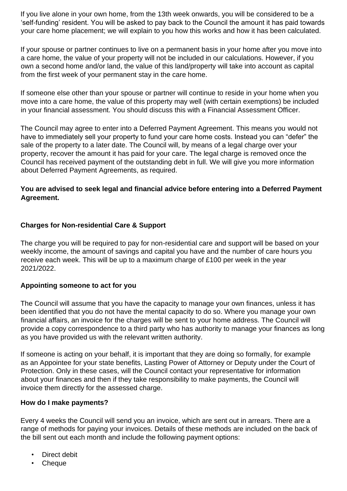If you live alone in your own home, from the 13th week onwards, you will be considered to be a 'self-funding' resident. You will be asked to pay back to the Council the amount it has paid towards your care home placement; we will explain to you how this works and how it has been calculated.

If your spouse or partner continues to live on a permanent basis in your home after you move into a care home, the value of your property will not be included in our calculations. However, if you own a second home and/or land, the value of this land/property will take into account as capital from the first week of your permanent stay in the care home.

If someone else other than your spouse or partner will continue to reside in your home when you move into a care home, the value of this property may well (with certain exemptions) be included in your financial assessment. You should discuss this with a Financial Assessment Officer.

The Council may agree to enter into a Deferred Payment Agreement. This means you would not have to immediately sell your property to fund your care home costs. Instead you can "defer" the sale of the property to a later date. The Council will, by means of a legal charge over your property, recover the amount it has paid for your care. The legal charge is removed once the Council has received payment of the outstanding debt in full. We will give you more information about Deferred Payment Agreements, as required.

## **You are advised to seek legal and financial advice before entering into a Deferred Payment Agreement.**

#### **Charges for Non-residential Care & Support**

The charge you will be required to pay for non-residential care and support will be based on your weekly income, the amount of savings and capital you have and the number of care hours you receive each week. This will be up to a maximum charge of £100 per week in the year 2021/2022.

#### **Appointing someone to act for you**

The Council will assume that you have the capacity to manage your own finances, unless it has been identified that you do not have the mental capacity to do so. Where you manage your own financial affairs, an invoice for the charges will be sent to your home address. The Council will provide a copy correspondence to a third party who has authority to manage your finances as long as you have provided us with the relevant written authority.

If someone is acting on your behalf, it is important that they are doing so formally, for example as an Appointee for your state benefits, Lasting Power of Attorney or Deputy under the Court of Protection. Only in these cases, will the Council contact your representative for information about your finances and then if they take responsibility to make payments, the Council will invoice them directly for the assessed charge.

#### **How do I make payments?**

Every 4 weeks the Council will send you an invoice, which are sent out in arrears. There are a range of methods for paying your invoices. Details of these methods are included on the back of the bill sent out each month and include the following payment options:

- Direct debit
- Cheque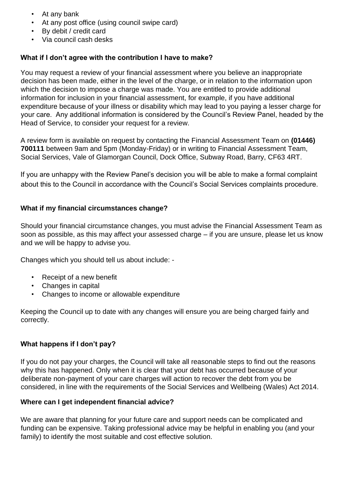- At any bank
- At any post office (using council swipe card)
- By debit / credit card
- Via council cash desks

## **What if I don't agree with the contribution I have to make?**

You may request a review of your financial assessment where you believe an inappropriate decision has been made, either in the level of the charge, or in relation to the information upon which the decision to impose a charge was made. You are entitled to provide additional information for inclusion in your financial assessment, for example, if you have additional expenditure because of your illness or disability which may lead to you paying a lesser charge for your care. Any additional information is considered by the Council's Review Panel, headed by the Head of Service, to consider your request for a review.

A review form is available on request by contacting the Financial Assessment Team on **(01446) 700111** between 9am and 5pm (Monday-Friday) or in writing to Financial Assessment Team, Social Services, Vale of Glamorgan Council, Dock Office, Subway Road, Barry, CF63 4RT.

If you are unhappy with the Review Panel's decision you will be able to make a formal complaint about this to the Council in accordance with the Council's Social Services complaints procedure.

## **What if my financial circumstances change?**

Should your financial circumstance changes, you must advise the Financial Assessment Team as soon as possible, as this may affect your assessed charge – if you are unsure, please let us know and we will be happy to advise you.

Changes which you should tell us about include: -

- Receipt of a new benefit
- Changes in capital
- Changes to income or allowable expenditure

Keeping the Council up to date with any changes will ensure you are being charged fairly and correctly.

## **What happens if I don't pay?**

If you do not pay your charges, the Council will take all reasonable steps to find out the reasons why this has happened. Only when it is clear that your debt has occurred because of your deliberate non-payment of your care charges will action to recover the debt from you be considered, in line with the requirements of the Social Services and Wellbeing (Wales) Act 2014.

## **Where can I get independent financial advice?**

We are aware that planning for your future care and support needs can be complicated and funding can be expensive. Taking professional advice may be helpful in enabling you (and your family) to identify the most suitable and cost effective solution.